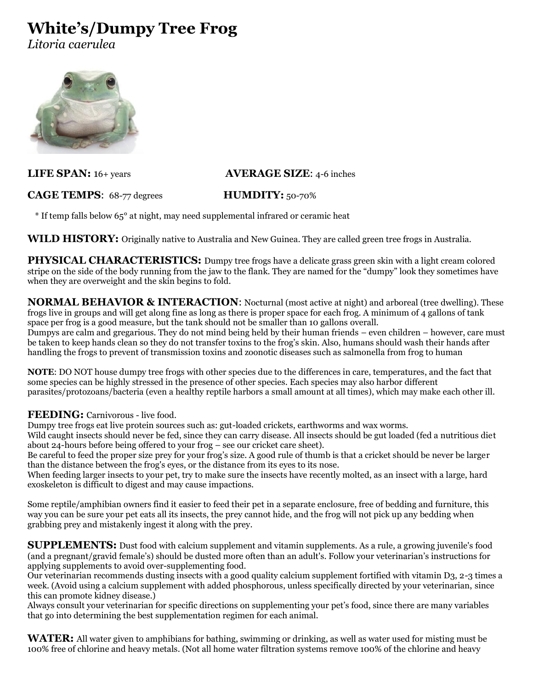# **White's/Dumpy Tree Frog**

*Litoria caerulea*



## **CAGE TEMPS**: 68-77 degrees **HUMDITY:** 50-70%

## **LIFE SPAN:** 16+ years **AVERAGE SIZE**: 4-6 inches

## \* If temp falls below 65° at night, may need supplemental infrared or ceramic heat

**WILD HISTORY:** Originally native to Australia and New Guinea. They are called green tree frogs in Australia.

**PHYSICAL CHARACTERISTICS:** Dumpy tree frogs have a delicate grass green skin with a light cream colored stripe on the side of the body running from the jaw to the flank. They are named for the "dumpy" look they sometimes have when they are overweight and the skin begins to fold.

**NORMAL BEHAVIOR & INTERACTION:** Nocturnal (most active at night) and arboreal (tree dwelling). These frogs live in groups and will get along fine as long as there is proper space for each frog. A minimum of 4 gallons of tank space per frog is a good measure, but the tank should not be smaller than 10 gallons overall. Dumpys are calm and gregarious. They do not mind being held by their human friends – even children – however, care must be taken to keep hands clean so they do not transfer toxins to the frog's skin. Also, humans should wash their hands after

**NOTE**: DO NOT house dumpy tree frogs with other species due to the differences in care, temperatures, and the fact that some species can be highly stressed in the presence of other species. Each species may also harbor different parasites/protozoans/bacteria (even a healthy reptile harbors a small amount at all times), which may make each other ill.

handling the frogs to prevent of transmission toxins and zoonotic diseases such as salmonella from frog to human

### **FEEDING:** Carnivorous - live food.

Dumpy tree frogs eat live protein sources such as: gut-loaded crickets, earthworms and wax worms.

Wild caught insects should never be fed, since they can carry disease. All insects should be gut loaded (fed a nutritious diet about 24-hours before being offered to your frog – see our cricket care sheet).

Be careful to feed the proper size prey for your frog's size. A good rule of thumb is that a cricket should be never be larger than the distance between the frog's eyes, or the distance from its eyes to its nose.

When feeding larger insects to your pet, try to make sure the insects have recently molted, as an insect with a large, hard exoskeleton is difficult to digest and may cause impactions.

Some reptile/amphibian owners find it easier to feed their pet in a separate enclosure, free of bedding and furniture, this way you can be sure your pet eats all its insects, the prey cannot hide, and the frog will not pick up any bedding when grabbing prey and mistakenly ingest it along with the prey.

**SUPPLEMENTS:** Dust food with calcium supplement and vitamin supplements. As a rule, a growing juvenile's food (and a pregnant/gravid female's) should be dusted more often than an adult's. Follow your veterinarian's instructions for applying supplements to avoid over-supplementing food.

Our veterinarian recommends dusting insects with a good quality calcium supplement fortified with vitamin D3, 2-3 times a week. (Avoid using a calcium supplement with added phosphorous, unless specifically directed by your veterinarian, since this can promote kidney disease.)

Always consult your veterinarian for specific directions on supplementing your pet's food, since there are many variables that go into determining the best supplementation regimen for each animal.

**WATER:** All water given to amphibians for bathing, swimming or drinking, as well as water used for misting must be 100% free of chlorine and heavy metals. (Not all home water filtration systems remove 100% of the chlorine and heavy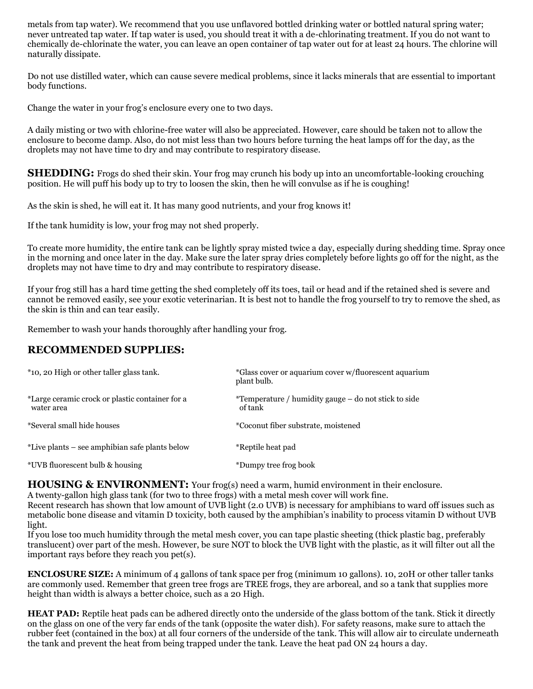metals from tap water). We recommend that you use unflavored bottled drinking water or bottled natural spring water; never untreated tap water. If tap water is used, you should treat it with a de-chlorinating treatment. If you do not want to chemically de-chlorinate the water, you can leave an open container of tap water out for at least 24 hours. The chlorine will naturally dissipate.

Do not use distilled water, which can cause severe medical problems, since it lacks minerals that are essential to important body functions.

Change the water in your frog's enclosure every one to two days.

A daily misting or two with chlorine-free water will also be appreciated. However, care should be taken not to allow the enclosure to become damp. Also, do not mist less than two hours before turning the heat lamps off for the day, as the droplets may not have time to dry and may contribute to respiratory disease.

**SHEDDING:** Frogs do shed their skin. Your frog may crunch his body up into an uncomfortable-looking crouching position. He will puff his body up to try to loosen the skin, then he will convulse as if he is coughing!

As the skin is shed, he will eat it. It has many good nutrients, and your frog knows it!

If the tank humidity is low, your frog may not shed properly.

To create more humidity, the entire tank can be lightly spray misted twice a day, especially during shedding time. Spray once in the morning and once later in the day. Make sure the later spray dries completely before lights go off for the night, as the droplets may not have time to dry and may contribute to respiratory disease.

If your frog still has a hard time getting the shed completely off its toes, tail or head and if the retained shed is severe and cannot be removed easily, see your exotic veterinarian. It is best not to handle the frog yourself to try to remove the shed, as the skin is thin and can tear easily.

Remember to wash your hands thoroughly after handling your frog.

## **RECOMMENDED SUPPLIES:**

| *10, 20 High or other taller glass tank.                      | *Glass cover or aquarium cover w/fluorescent aquarium<br>plant bulb.    |
|---------------------------------------------------------------|-------------------------------------------------------------------------|
| *Large ceramic crock or plastic container for a<br>water area | <i>*</i> Temperature / humidity gauge – do not stick to side<br>of tank |
| *Several small hide houses                                    | *Coconut fiber substrate, moistened                                     |
| *Live plants – see amphibian safe plants below                | *Reptile heat pad                                                       |
| *UVB fluorescent bulb & housing                               | *Dumpy tree frog book                                                   |

**HOUSING & ENVIRONMENT:** Your frog(s) need a warm, humid environment in their enclosure.

A twenty-gallon high glass tank (for two to three frogs) with a metal mesh cover will work fine.

Recent research has shown that low amount of UVB light (2.0 UVB) is necessary for amphibians to ward off issues such as metabolic bone disease and vitamin D toxicity, both caused by the amphibian's inability to process vitamin D without UVB light.

If you lose too much humidity through the metal mesh cover, you can tape plastic sheeting (thick plastic bag, preferably translucent) over part of the mesh. However, be sure NOT to block the UVB light with the plastic, as it will filter out all the important rays before they reach you pet(s).

**ENCLOSURE SIZE:** A minimum of 4 gallons of tank space per frog (minimum 10 gallons). 10, 20H or other taller tanks are commonly used. Remember that green tree frogs are TREE frogs, they are arboreal, and so a tank that supplies more height than width is always a better choice, such as a 20 High.

**HEAT PAD:** Reptile heat pads can be adhered directly onto the underside of the glass bottom of the tank. Stick it directly on the glass on one of the very far ends of the tank (opposite the water dish). For safety reasons, make sure to attach the rubber feet (contained in the box) at all four corners of the underside of the tank. This will allow air to circulate underneath the tank and prevent the heat from being trapped under the tank. Leave the heat pad ON 24 hours a day.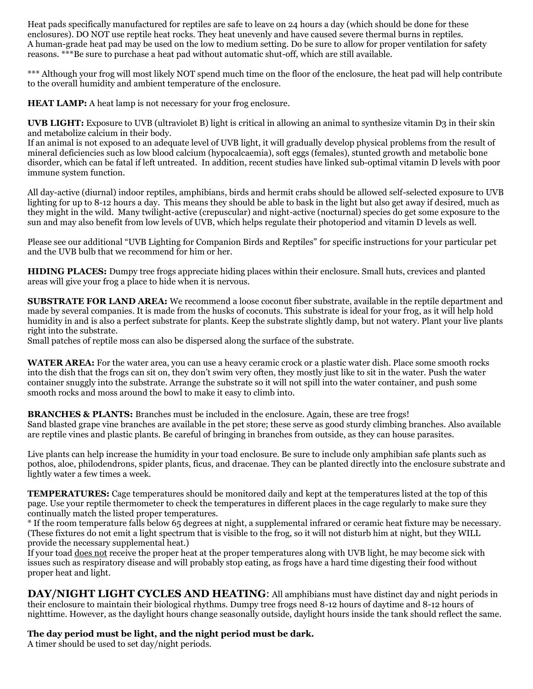Heat pads specifically manufactured for reptiles are safe to leave on 24 hours a day (which should be done for these enclosures). DO NOT use reptile heat rocks. They heat unevenly and have caused severe thermal burns in reptiles. A human-grade heat pad may be used on the low to medium setting. Do be sure to allow for proper ventilation for safety reasons. \*\*\*Be sure to purchase a heat pad without automatic shut-off, which are still available.

\*\*\* Although your frog will most likely NOT spend much time on the floor of the enclosure, the heat pad will help contribute to the overall humidity and ambient temperature of the enclosure.

**HEAT LAMP:** A heat lamp is not necessary for your frog enclosure.

**UVB LIGHT:** Exposure to UVB (ultraviolet B) light is critical in allowing an animal to synthesize vitamin D3 in their skin and metabolize calcium in their body.

If an animal is not exposed to an adequate level of UVB light, it will gradually develop physical problems from the result of mineral deficiencies such as low blood calcium (hypocalcaemia), soft eggs (females), stunted growth and metabolic bone disorder, which can be fatal if left untreated. In addition, recent studies have linked sub-optimal vitamin D levels with poor immune system function.

All day-active (diurnal) indoor reptiles, amphibians, birds and hermit crabs should be allowed self-selected exposure to UVB lighting for up to 8-12 hours a day. This means they should be able to bask in the light but also get away if desired, much as they might in the wild. Many twilight-active (crepuscular) and night-active (nocturnal) species do get some exposure to the sun and may also benefit from low levels of UVB, which helps regulate their photoperiod and vitamin D levels as well.

Please see our additional "UVB Lighting for Companion Birds and Reptiles" for specific instructions for your particular pet and the UVB bulb that we recommend for him or her.

**HIDING PLACES:** Dumpy tree frogs appreciate hiding places within their enclosure. Small huts, crevices and planted areas will give your frog a place to hide when it is nervous.

**SUBSTRATE FOR LAND AREA:** We recommend a loose coconut fiber substrate, available in the reptile department and made by several companies. It is made from the husks of coconuts. This substrate is ideal for your frog, as it will help hold humidity in and is also a perfect substrate for plants. Keep the substrate slightly damp, but not watery. Plant your live plants right into the substrate.

Small patches of reptile moss can also be dispersed along the surface of the substrate.

**WATER AREA:** For the water area, you can use a heavy ceramic crock or a plastic water dish. Place some smooth rocks into the dish that the frogs can sit on, they don't swim very often, they mostly just like to sit in the water. Push the water container snuggly into the substrate. Arrange the substrate so it will not spill into the water container, and push some smooth rocks and moss around the bowl to make it easy to climb into.

**BRANCHES & PLANTS:** Branches must be included in the enclosure. Again, these are tree frogs! Sand blasted grape vine branches are available in the pet store; these serve as good sturdy climbing branches. Also available are reptile vines and plastic plants. Be careful of bringing in branches from outside, as they can house parasites.

Live plants can help increase the humidity in your toad enclosure. Be sure to include only amphibian safe plants such as pothos, aloe, philodendrons, spider plants, ficus, and dracenae. They can be planted directly into the enclosure substrate and lightly water a few times a week.

**TEMPERATURES:** Cage temperatures should be monitored daily and kept at the temperatures listed at the top of this page. Use your reptile thermometer to check the temperatures in different places in the cage regularly to make sure they continually match the listed proper temperatures.

\* If the room temperature falls below 65 degrees at night, a supplemental infrared or ceramic heat fixture may be necessary. (These fixtures do not emit a light spectrum that is visible to the frog, so it will not disturb him at night, but they WILL provide the necessary supplemental heat.)

If your toad does not receive the proper heat at the proper temperatures along with UVB light, he may become sick with issues such as respiratory disease and will probably stop eating, as frogs have a hard time digesting their food without proper heat and light.

**DAY/NIGHT LIGHT CYCLES AND HEATING**: All amphibians must have distinct day and night periods in their enclosure to maintain their biological rhythms. Dumpy tree frogs need 8-12 hours of daytime and 8-12 hours of nighttime. However, as the daylight hours change seasonally outside, daylight hours inside the tank should reflect the same.

### **The day period must be light, and the night period must be dark.**

A timer should be used to set day/night periods.